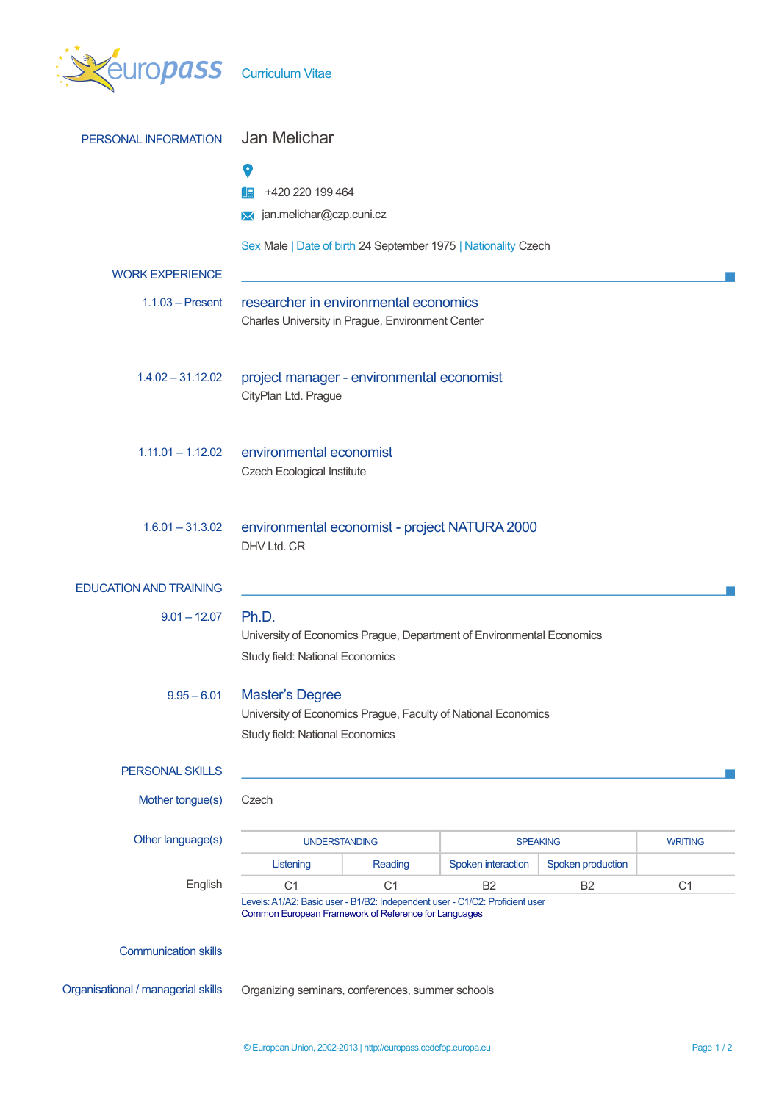| <b>EUIOPASS</b> Curriculum Vitae   |                                                                                                                                             |                |                                   |                   |                |
|------------------------------------|---------------------------------------------------------------------------------------------------------------------------------------------|----------------|-----------------------------------|-------------------|----------------|
| PERSONAL INFORMATION               | Jan Melichar                                                                                                                                |                |                                   |                   |                |
|                                    | O<br>+420 220 199 464<br>I E<br>>< jan.melichar@czp.cuni.cz                                                                                 |                |                                   |                   |                |
|                                    | Sex Male   Date of birth 24 September 1975   Nationality Czech                                                                              |                |                                   |                   |                |
| <b>WORK EXPERIENCE</b>             |                                                                                                                                             |                |                                   |                   |                |
| $1.1.03$ – Present                 | researcher in environmental economics<br>Charles University in Prague, Environment Center                                                   |                |                                   |                   |                |
| $1.4.02 - 31.12.02$                | project manager - environmental economist<br>CityPlan Ltd. Prague                                                                           |                |                                   |                   |                |
| $1.11.01 - 1.12.02$                | environmental economist<br><b>Czech Ecological Institute</b>                                                                                |                |                                   |                   |                |
| $1.6.01 - 31.3.02$                 | environmental economist - project NATURA 2000<br>DHV Ltd. CR                                                                                |                |                                   |                   |                |
| <b>EDUCATION AND TRAINING</b>      |                                                                                                                                             |                |                                   |                   |                |
| $9.01 - 12.07$                     | Ph.D.<br>University of Economics Prague, Department of Environmental Economics<br>Study field: National Economics                           |                |                                   |                   |                |
| $9.95 - 6.01$                      | <b>Master's Degree</b><br>University of Economics Prague, Faculty of National Economics<br>Study field: National Economics                  |                |                                   |                   |                |
| <b>PERSONAL SKILLS</b>             |                                                                                                                                             |                |                                   |                   |                |
| Mother tongue(s)                   | Czech                                                                                                                                       |                |                                   |                   |                |
| Other language(s)                  | <b>UNDERSTANDING</b>                                                                                                                        |                | <b>SPEAKING</b><br><b>WRITING</b> |                   |                |
|                                    | Listening                                                                                                                                   | Reading        | Spoken interaction                | Spoken production |                |
| English                            | C <sub>1</sub>                                                                                                                              | C <sub>1</sub> | B <sub>2</sub>                    | B <sub>2</sub>    | C <sub>1</sub> |
|                                    | Levels: A1/A2: Basic user - B1/B2: Independent user - C1/C2: Proficient user<br><b>Common European Framework of Reference for Languages</b> |                |                                   |                   |                |
| <b>Communication skills</b>        |                                                                                                                                             |                |                                   |                   |                |
| Organisational / managerial skills | Organizing seminars, conferences, summer schools                                                                                            |                |                                   |                   |                |